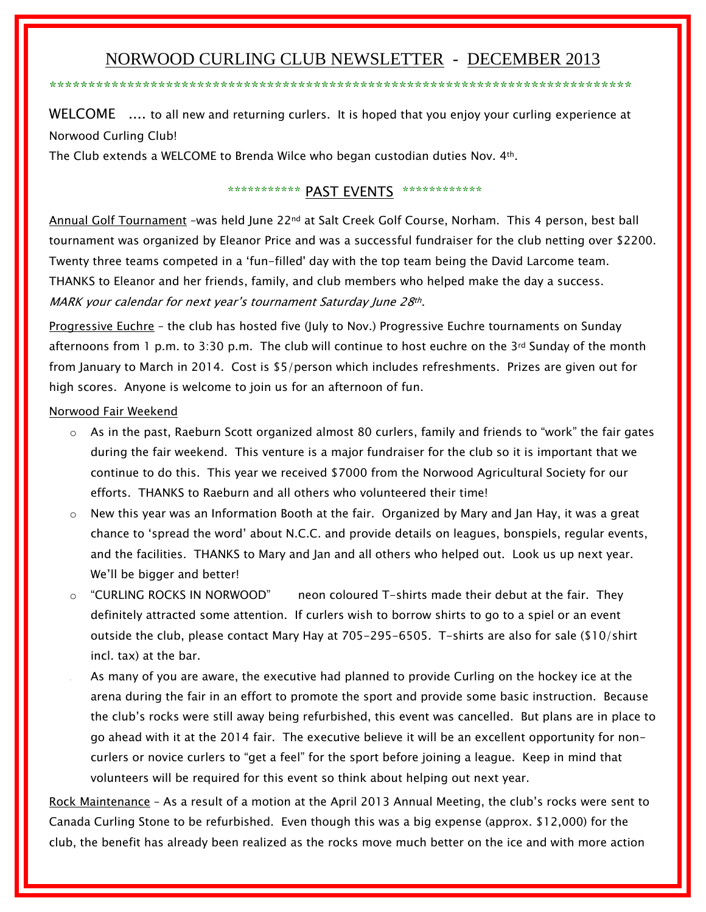# NORWOOD CURLING CLUB NEWSLETTER - DECEMBER 2013

\*\*\*\*\*\*\*\*\*\*\*\*\*\*\*\*\*\*\*\*\*\*\*\*\*\*\*\*\*\*\*\*\*\*\*\*\*\*\*\*\*\*\*\*\*\*\*\*\*\*\*\*\*\*\*\*\*\*\*\*\*\*\*\*\*\*\*\*\*\*\*\*\*\*\*

WELCOME .... to all new and returning curlers. It is hoped that you enjoy your curling experience at Norwood Curling Club!

The Club extends a WELCOME to Brenda Wilce who began custodian duties Nov. 4th.

## \*\*\*\*\*\*\*\*\*\*\*\* PAST EVENTS \*\*\*\*\*\*\*\*\*\*\*\*\*

Annual Golf Tournament -was held June 22<sup>nd</sup> at Salt Creek Golf Course, Norham. This 4 person, best ball tournament was organized by Eleanor Price and was a successful fundraiser for the club netting over \$2200. Twenty three teams competed in a 'fun-filled' day with the top team being the David Larcome team. THANKS to Eleanor and her friends, family, and club members who helped make the day a success. MARK your calendar for next year's tournament Saturday June 28th.

Progressive Euchre - the club has hosted five (July to Nov.) Progressive Euchre tournaments on Sunday afternoons from 1 p.m. to 3:30 p.m. The club will continue to host euchre on the 3<sup>rd</sup> Sunday of the month from January to March in 2014. Cost is \$5/person which includes refreshments. Prizes are given out for high scores. Anyone is welcome to join us for an afternoon of fun.

Norwood Fair Weekend

- $\circ$  As in the past, Raeburn Scott organized almost 80 curlers, family and friends to "work" the fair gates during the fair weekend. This venture is a major fundraiser for the club so it is important that we continue to do this. This year we received \$7000 from the Norwood Agricultural Society for our efforts. THANKS to Raeburn and all others who volunteered their time!
- $\circ$  New this year was an Information Booth at the fair. Organized by Mary and Jan Hay, it was a great chance to 'spread the word' about N.C.C. and provide details on leagues, bonspiels, regular events, and the facilities. THANKS to Mary and Jan and all others who helped out. Look us up next year. We'll be bigger and better!
- $\circ$  "CURLING ROCKS IN NORWOOD" neon coloured T-shirts made their debut at the fair. They definitely attracted some attention. If curlers wish to borrow shirts to go to a spiel or an event outside the club, please contact Mary Hay at 705-295-6505. T-shirts are also for sale (\$10/shirt incl. tax) at the bar.
- As many of you are aware, the executive had planned to provide Curling on the hockey ice at the arena during the fair in an effort to promote the sport and provide some basic instruction. Because the club's rocks were still away being refurbished, this event was cancelled. But plans are in place to go ahead with it at the 2014 fair. The executive believe it will be an excellent opportunity for noncurlers or novice curlers to "get a feel" for the sport before joining a league. Keep in mind that volunteers will be required for this event so think about helping out next year.

Rock Maintenance – As a result of a motion at the April 2013 Annual Meeting, the club's rocks were sent to Canada Curling Stone to be refurbished. Even though this was a big expense (approx. \$12,000) for the club, the benefit has already been realized as the rocks move much better on the ice and with more action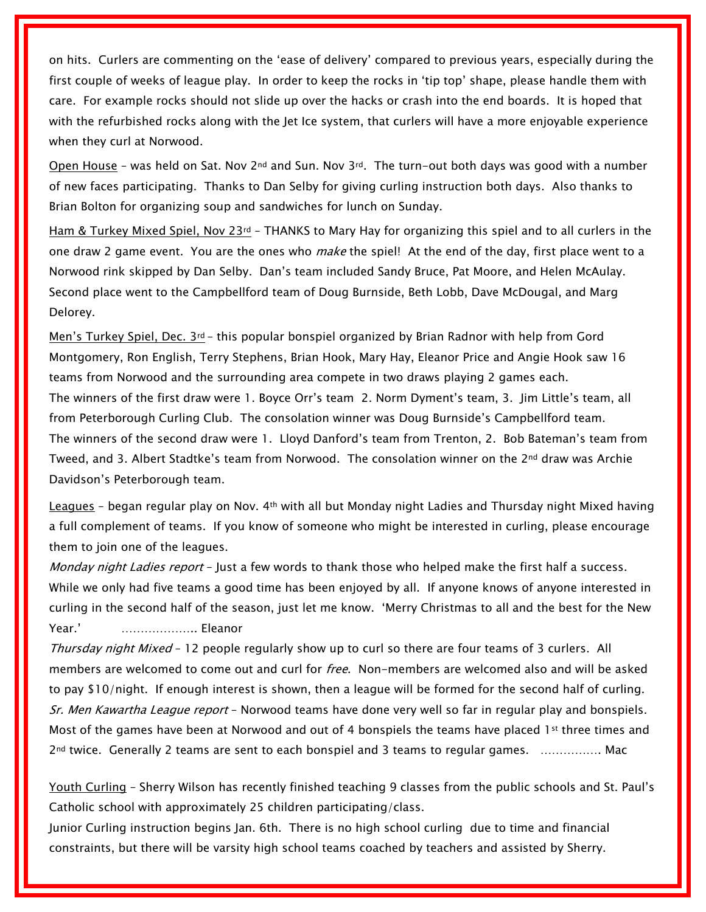on hits. Curlers are commenting on the 'ease of delivery' compared to previous years, especially during the first couple of weeks of league play. In order to keep the rocks in 'tip top' shape, please handle them with care. For example rocks should not slide up over the hacks or crash into the end boards. It is hoped that with the refurbished rocks along with the Jet Ice system, that curlers will have a more enjoyable experience when they curl at Norwood.

Open House – was held on Sat. Nov  $2^{nd}$  and Sun. Nov  $3^{rd}$ . The turn-out both days was good with a number of new faces participating. Thanks to Dan Selby for giving curling instruction both days. Also thanks to Brian Bolton for organizing soup and sandwiches for lunch on Sunday.

Ham & Turkey Mixed Spiel, Nov 23<sup>rd</sup> – THANKS to Mary Hay for organizing this spiel and to all curlers in the one draw 2 game event. You are the ones who *make* the spiel! At the end of the day, first place went to a Norwood rink skipped by Dan Selby. Dan's team included Sandy Bruce, Pat Moore, and Helen McAulay. Second place went to the Campbellford team of Doug Burnside, Beth Lobb, Dave McDougal, and Marg Delorey.

Men's Turkey Spiel, Dec.  $3^{rd}$  – this popular bonspiel organized by Brian Radnor with help from Gord Montgomery, Ron English, Terry Stephens, Brian Hook, Mary Hay, Eleanor Price and Angie Hook saw 16 teams from Norwood and the surrounding area compete in two draws playing 2 games each. The winners of the first draw were 1. Boyce Orr's team 2. Norm Dyment's team, 3. Jim Little's team, all from Peterborough Curling Club. The consolation winner was Doug Burnside's Campbellford team. The winners of the second draw were 1. Lloyd Danford's team from Trenton, 2. Bob Bateman's team from Tweed, and 3. Albert Stadtke's team from Norwood. The consolation winner on the 2<sup>nd</sup> draw was Archie Davidson's Peterborough team.

Leagues - began regular play on Nov. 4<sup>th</sup> with all but Monday night Ladies and Thursday night Mixed having a full complement of teams. If you know of someone who might be interested in curling, please encourage them to join one of the leagues.

Monday night Ladies report - Just a few words to thank those who helped make the first half a success. While we only had five teams a good time has been enjoyed by all. If anyone knows of anyone interested in curling in the second half of the season, just let me know. 'Merry Christmas to all and the best for the New Year.' ……………….. Eleanor

Thursday night Mixed - 12 people regularly show up to curl so there are four teams of 3 curlers. All members are welcomed to come out and curl for *free*. Non-members are welcomed also and will be asked to pay \$10/night. If enough interest is shown, then a league will be formed for the second half of curling. Sr. Men Kawartha League report - Norwood teams have done very well so far in regular play and bonspiels. Most of the games have been at Norwood and out of 4 bonspiels the teams have placed 1st three times and 2nd twice. Generally 2 teams are sent to each bonspiel and 3 teams to regular games. ……………. Mac

Youth Curling – Sherry Wilson has recently finished teaching 9 classes from the public schools and St. Paul's Catholic school with approximately 25 children participating/class.

Junior Curling instruction begins Jan. 6th. There is no high school curling due to time and financial constraints, but there will be varsity high school teams coached by teachers and assisted by Sherry.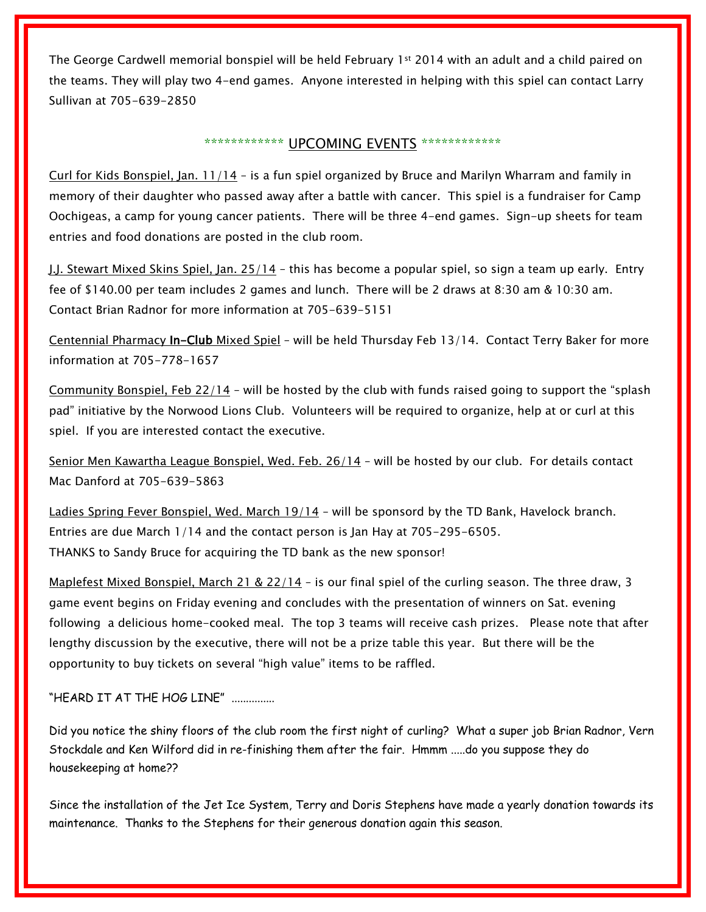The George Cardwell memorial bonspiel will be held February 1st 2014 with an adult and a child paired on the teams. They will play two 4-end games. Anyone interested in helping with this spiel can contact Larry Sullivan at 705-639-2850

## \*\*\*\*\*\*\*\*\*\*\*\* UPCOMING EVENTS \*\*\*\*\*\*\*\*\*\*\*\*\*

Curl for Kids Bonspiel, Jan. 11/14 – is a fun spiel organized by Bruce and Marilyn Wharram and family in memory of their daughter who passed away after a battle with cancer. This spiel is a fundraiser for Camp Oochigeas, a camp for young cancer patients. There will be three 4-end games. Sign-up sheets for team entries and food donations are posted in the club room.

J.J. Stewart Mixed Skins Spiel, Jan. 25/14 – this has become a popular spiel, so sign a team up early. Entry fee of \$140.00 per team includes 2 games and lunch. There will be 2 draws at 8:30 am & 10:30 am. Contact Brian Radnor for more information at 705-639-5151

Centennial Pharmacy In-Club Mixed Spiel – will be held Thursday Feb 13/14. Contact Terry Baker for more information at 705-778-1657

Community Bonspiel, Feb  $22/14$  – will be hosted by the club with funds raised going to support the "splash" pad" initiative by the Norwood Lions Club. Volunteers will be required to organize, help at or curl at this spiel. If you are interested contact the executive.

Senior Men Kawartha League Bonspiel, Wed. Feb. 26/14 – will be hosted by our club. For details contact Mac Danford at 705-639-5863

Ladies Spring Fever Bonspiel, Wed. March 19/14 – will be sponsord by the TD Bank, Havelock branch. Entries are due March 1/14 and the contact person is Jan Hay at 705-295-6505. THANKS to Sandy Bruce for acquiring the TD bank as the new sponsor!

Maplefest Mixed Bonspiel, March 21 & 22/14 - is our final spiel of the curling season. The three draw, 3 game event begins on Friday evening and concludes with the presentation of winners on Sat. evening following a delicious home-cooked meal. The top 3 teams will receive cash prizes. Please note that after lengthy discussion by the executive, there will not be a prize table this year. But there will be the opportunity to buy tickets on several "high value" items to be raffled.

"HEARD IT AT THE HOG LINE" ...............

Did you notice the shiny floors of the club room the first night of curling? What a super job Brian Radnor, Vern Stockdale and Ken Wilford did in re-finishing them after the fair. Hmmm .....do you suppose they do housekeeping at home??

Since the installation of the Jet Ice System, Terry and Doris Stephens have made a yearly donation towards its maintenance. Thanks to the Stephens for their generous donation again this season.